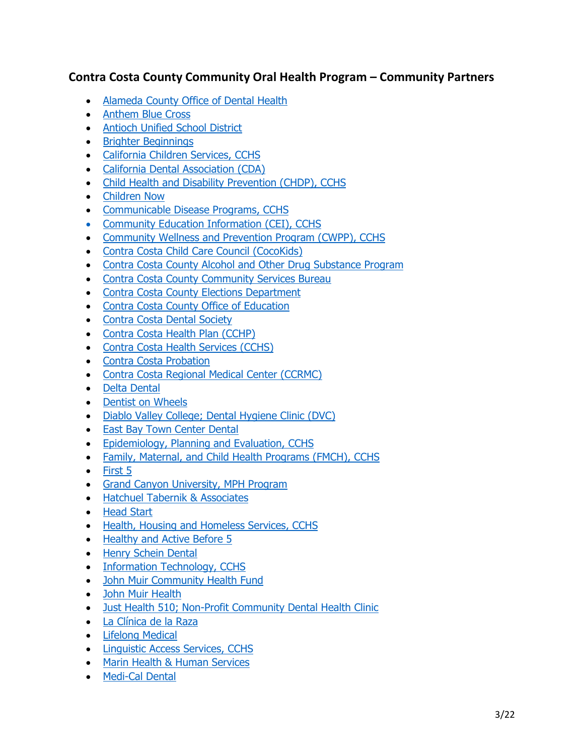## **Contra Costa County Community Oral Health Program – Community Partners**

- [Alameda County Office of Dental Health](https://dental.acphd.org/)
- [Anthem Blue Cross](https://www.anthem.com/)
- [Antioch Unified School District](https://www.antiochschools.net/)
- [Brighter Beginnings](https://www.brighter-beginnings.org/)
- [California Children Services, CCHS](https://cchealth.org/fmch/ccs.php)
- [California Dental Association \(CDA\)](https://www.cda.org/)
- [Child Health and Disability Prevention \(CHDP\), CCHS](https://cchealth.org/chdp/)
- [Children Now](https://www.childrennow.org/)
- [Communicable Disease Programs, CCHS](https://cchealth.org/cd/)
- [Community Education Information \(CEI\), CCHS](https://cchealth.org/cei/)
- [Community Wellness and Prevention Program \(CWPP\), CCHS](https://cchealth.org/prevention/)
- [Contra Costa Child Care Council](https://www.cocokids.org/) (CocoKids)
- [Contra Costa County Alcohol and Other Drug Substance Program](https://cchealth.org/aod/)
- [Contra Costa County Community Services Bureau](https://ehsd.org/headstart/)
- [Contra Costa County Elections Department](https://www.cocovote.us/)
- [Contra Costa County Office of Education](https://www.cccoe.k12.ca.us/)
- [Contra Costa Dental Society](https://www.ccdds.org/)
- [Contra Costa Health Plan \(CCHP\)](https://cchealth.org/healthplan/)
- [Contra Costa Health Services \(CCHS\)](https://cchealth.org/)
- [Contra Costa Probation](https://www.contracosta.ca.gov/198/Probation)
- [Contra Costa Regional Medical Center \(CCRMC\)](https://cchealth.org/medicalcenter/)
- [Delta Dental](https://www.deltadental.com/)
- [Dentist on Wheels](https://dentistsonwheels.org/)
- [Diablo Valley College; Dental Hygiene Clinic \(DVC\)](https://www.dvc.edu/academics/departments/hygiene/)
- [East Bay Town Center Dental](http://sanpablodentistry.com/)
- [Epidemiology, Planning and Evaluation, CCHS](https://cchealth.org/health-data/)
- [Family, Maternal, and Child Health Programs \(FMCH\), CCHS](https://cchealth.org/fmch/)
- [First 5](http://www.first5coco.org/)
- [Grand Canyon University, MPH Program](https://www.gcu.edu/degree-programs/mph-master-public-health)
- [Hatchuel Tabernik & Associates](http://www.htaconsulting.com/)
- [Head Start](https://www.acf.hhs.gov/ohs)
- [Health, Housing and Homeless Services, CCHS](https://cchealth.org/h3/)
- [Healthy and Active Before 5](http://www.healthyandactivebefore5.org/)
- [Henry Schein Dental](https://www.henryschein.com/us-en/dental/Default.aspx?did=dental)
- [Information Technology, CCHS](https://www.contracosta.ca.gov/195/Information-Technology)
- [John Muir Community Health Fund](https://www.johnmuirhealth.com/about-john-muir-health/community-commitment/community-health-fund.html)
- [John Muir Health](https://www.johnmuirhealth.com/)
- [Just Health 510; Non-Profit Community Dental Health Clinic](http://www.justhealth510.org/)
- [La Clínica de la Raza](https://laclinica.org/)
- [Lifelong Medical](https://www.lifelongmedical.org/)
- [Linguistic Access Services, CCHS](https://cchealth.org/language-assistance/)
- [Marin Health & Human Services](https://www.marinhhs.org/)
- [Medi-Cal Dental](https://dental.dhcs.ca.gov/)